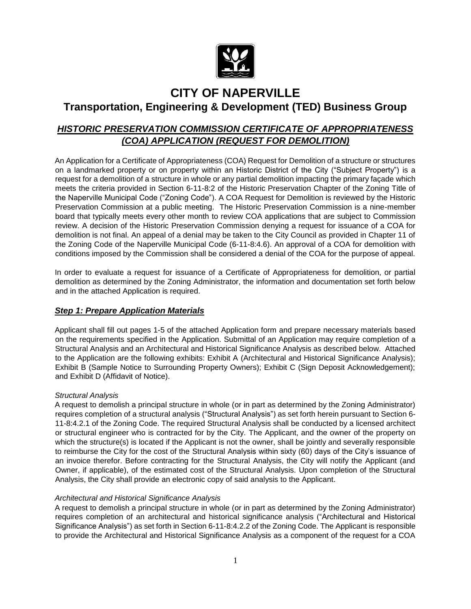

## **CITY OF NAPERVILLE**

## **Transportation, Engineering & Development (TED) Business Group**

## *HISTORIC PRESERVATION COMMISSION CERTIFICATE OF APPROPRIATENESS (COA) APPLICATION (REQUEST FOR DEMOLITION)*

An Application for a Certificate of Appropriateness (COA) Request for Demolition of a structure or structures on a landmarked property or on property within an Historic District of the City ("Subject Property") is a request for a demolition of a structure in whole or any partial demolition impacting the primary façade which meets the criteria provided in Section 6-11-8:2 of the Historic Preservation Chapter of the Zoning Title of the Naperville Municipal Code ("Zoning Code"). A COA Request for Demolition is reviewed by the Historic Preservation Commission at a public meeting. The Historic Preservation Commission is a nine-member board that typically meets every other month to review COA applications that are subject to Commission review. A decision of the Historic Preservation Commission denying a request for issuance of a COA for demolition is not final. An appeal of a denial may be taken to the City Council as provided in Chapter 11 of the Zoning Code of the Naperville Municipal Code (6-11-8:4.6). An approval of a COA for demolition with conditions imposed by the Commission shall be considered a denial of the COA for the purpose of appeal.

In order to evaluate a request for issuance of a Certificate of Appropriateness for demolition, or partial demolition as determined by the Zoning Administrator, the information and documentation set forth below and in the attached Application is required.

## *Step 1: Prepare Application Materials*

Applicant shall fill out pages 1-5 of the attached Application form and prepare necessary materials based on the requirements specified in the Application. Submittal of an Application may require completion of a Structural Analysis and an Architectural and Historical Significance Analysis as described below. Attached to the Application are the following exhibits: Exhibit A (Architectural and Historical Significance Analysis); Exhibit B (Sample Notice to Surrounding Property Owners); Exhibit C (Sign Deposit Acknowledgement); and Exhibit D (Affidavit of Notice).

## *Structural Analysis*

A request to demolish a principal structure in whole (or in part as determined by the Zoning Administrator) requires completion of a structural analysis ("Structural Analysis") as set forth herein pursuant to Section 6- 11-8:4.2.1 of the Zoning Code. The required Structural Analysis shall be conducted by a licensed architect or structural engineer who is contracted for by the City. The Applicant, and the owner of the property on which the structure(s) is located if the Applicant is not the owner, shall be jointly and severally responsible to reimburse the City for the cost of the Structural Analysis within sixty (60) days of the City's issuance of an invoice therefor. Before contracting for the Structural Analysis, the City will notify the Applicant (and Owner, if applicable), of the estimated cost of the Structural Analysis. Upon completion of the Structural Analysis, the City shall provide an electronic copy of said analysis to the Applicant.

#### *Architectural and Historical Significance Analysis*

A request to demolish a principal structure in whole (or in part as determined by the Zoning Administrator) requires completion of an architectural and historical significance analysis ("Architectural and Historical Significance Analysis") as set forth in Section 6-11-8:4.2.2 of the Zoning Code. The Applicant is responsible to provide the Architectural and Historical Significance Analysis as a component of the request for a COA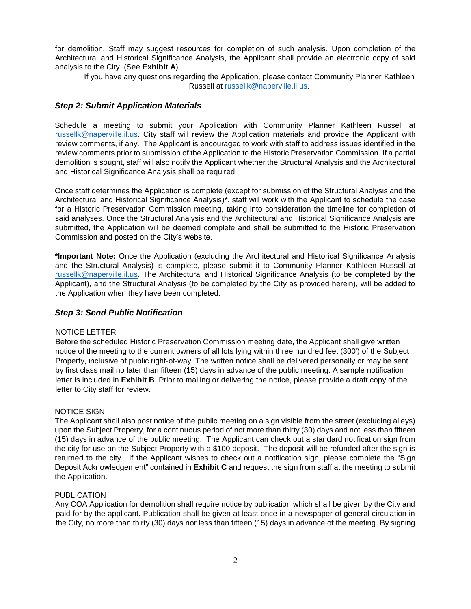for demolition. Staff may suggest resources for completion of such analysis. Upon completion of the Architectural and Historical Significance Analysis, the Applicant shall provide an electronic copy of said analysis to the City. (See **Exhibit A**)

If you have any questions regarding the Application, please contact Community Planner Kathleen Russell at [russellk@naperville.il.us.](https://cityofnaperville.sharepoint.com/sites/TED/staff/PND/Planning%20Services/Commissions/Historic%20Preservation%20Commission/Applications/Demolition%20Applications/russellk@naperville.il.us)

#### *Step 2: Submit Application Materials*

Schedule a meeting to submit your Application with Community Planner Kathleen Russell at [russellk@naperville.il.us.](https://cityofnaperville.sharepoint.com/sites/TED/staff/PND/Planning%20Services/Commissions/Historic%20Preservation%20Commission/Applications/Demolition%20Applications/russellk@naperville.il.us) City staff will review the Application materials and provide the Applicant with review comments, if any. The Applicant is encouraged to work with staff to address issues identified in the review comments prior to submission of the Application to the Historic Preservation Commission. If a partial demolition is sought, staff will also notify the Applicant whether the Structural Analysis and the Architectural and Historical Significance Analysis shall be required.

Once staff determines the Application is complete (except for submission of the Structural Analysis and the Architectural and Historical Significance Analysis)**\***, staff will work with the Applicant to schedule the case for a Historic Preservation Commission meeting, taking into consideration the timeline for completion of said analyses. Once the Structural Analysis and the Architectural and Historical Significance Analysis are submitted, the Application will be deemed complete and shall be submitted to the Historic Preservation Commission and posted on the City's website.

**\*Important Note:** Once the Application (excluding the Architectural and Historical Significance Analysis and the Structural Analysis) is complete, please submit it to Community Planner Kathleen Russell at [russellk@naperville.il.us.](russellk@naperville.il.us) The Architectural and Historical Significance Analysis (to be completed by the Applicant), and the Structural Analysis (to be completed by the City as provided herein), will be added to the Application when they have been completed.

## *Step 3: Send Public Notification*

#### NOTICE LETTER

Before the scheduled Historic Preservation Commission meeting date, the Applicant shall give written notice of the meeting to the current owners of all lots lying within three hundred feet (300') of the Subject Property, inclusive of public right-of-way. The written notice shall be delivered personally or may be sent by first class mail no later than fifteen (15) days in advance of the public meeting. A sample notification letter is included in **Exhibit B**. Prior to mailing or delivering the notice, please provide a draft copy of the letter to City staff for review.

#### NOTICE SIGN

The Applicant shall also post notice of the public meeting on a sign visible from the street (excluding alleys) upon the Subject Property, for a continuous period of not more than thirty (30) days and not less than fifteen (15) days in advance of the public meeting. The Applicant can check out a standard notification sign from the city for use on the Subject Property with a \$100 deposit. The deposit will be refunded after the sign is returned to the city. If the Applicant wishes to check out a notification sign, please complete the "Sign Deposit Acknowledgement" contained in **Exhibit C** and request the sign from staff at the meeting to submit the Application.

#### PUBLICATION

Any COA Application for demolition shall require notice by publication which shall be given by the City and paid for by the applicant. Publication shall be given at least once in a newspaper of general circulation in the City, no more than thirty (30) days nor less than fifteen (15) days in advance of the meeting. By signing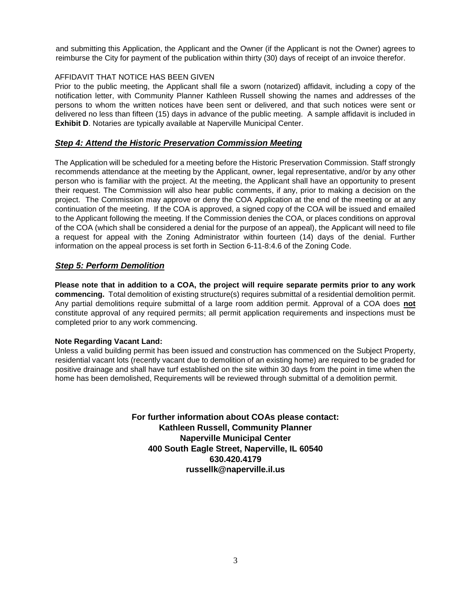and submitting this Application, the Applicant and the Owner (if the Applicant is not the Owner) agrees to reimburse the City for payment of the publication within thirty (30) days of receipt of an invoice therefor.

#### AFFIDAVIT THAT NOTICE HAS BEEN GIVEN

Prior to the public meeting, the Applicant shall file a sworn (notarized) affidavit, including a copy of the notification letter, with Community Planner Kathleen Russell showing the names and addresses of the persons to whom the written notices have been sent or delivered, and that such notices were sent or delivered no less than fifteen (15) days in advance of the public meeting. A sample affidavit is included in **Exhibit D**. Notaries are typically available at Naperville Municipal Center.

#### *Step 4: Attend the Historic Preservation Commission Meeting*

The Application will be scheduled for a meeting before the Historic Preservation Commission. Staff strongly recommends attendance at the meeting by the Applicant, owner, legal representative, and/or by any other person who is familiar with the project. At the meeting, the Applicant shall have an opportunity to present their request. The Commission will also hear public comments, if any, prior to making a decision on the project. The Commission may approve or deny the COA Application at the end of the meeting or at any continuation of the meeting. If the COA is approved, a signed copy of the COA will be issued and emailed to the Applicant following the meeting. If the Commission denies the COA, or places conditions on approval of the COA (which shall be considered a denial for the purpose of an appeal), the Applicant will need to file a request for appeal with the Zoning Administrator within fourteen (14) days of the denial. Further information on the appeal process is set forth in Section 6-11-8:4.6 of the Zoning Code.

## *Step 5: Perform Demolition*

**Please note that in addition to a COA, the project will require separate permits prior to any work commencing.** Total demolition of existing structure(s) requires submittal of a residential demolition permit. Any partial demolitions require submittal of a large room addition permit. Approval of a COA does **not** constitute approval of any required permits; all permit application requirements and inspections must be completed prior to any work commencing.

#### **Note Regarding Vacant Land:**

Unless a valid building permit has been issued and construction has commenced on the Subject Property, residential vacant lots (recently vacant due to demolition of an existing home) are required to be graded for positive drainage and shall have turf established on the site within 30 days from the point in time when the home has been demolished, Requirements will be reviewed through submittal of a demolition permit.

> **For further information about COAs please contact: Kathleen Russell, Community Planner Naperville Municipal Center 400 South Eagle Street, Naperville, IL 60540 630.420.4179 russellk@naperville.il.us**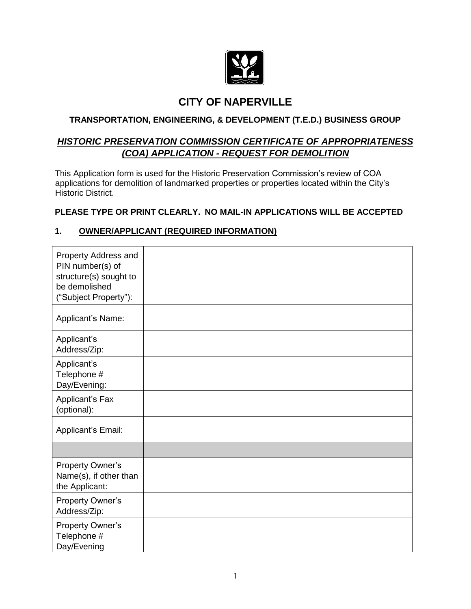

## **CITY OF NAPERVILLE**

## **TRANSPORTATION, ENGINEERING, & DEVELOPMENT (T.E.D.) BUSINESS GROUP**

## *HISTORIC PRESERVATION COMMISSION CERTIFICATE OF APPROPRIATENESS (COA) APPLICATION - REQUEST FOR DEMOLITION*

This Application form is used for the Historic Preservation Commission's review of COA applications for demolition of landmarked properties or properties located within the City's Historic District.

## **PLEASE TYPE OR PRINT CLEARLY. NO MAIL-IN APPLICATIONS WILL BE ACCEPTED**

## **1. OWNER/APPLICANT (REQUIRED INFORMATION)**

| Property Address and<br>PIN number(s) of<br>structure(s) sought to<br>be demolished<br>("Subject Property"): |  |
|--------------------------------------------------------------------------------------------------------------|--|
| Applicant's Name:                                                                                            |  |
| Applicant's<br>Address/Zip:                                                                                  |  |
| Applicant's<br>Telephone #<br>Day/Evening:                                                                   |  |
| Applicant's Fax<br>(optional):                                                                               |  |
| Applicant's Email:                                                                                           |  |
|                                                                                                              |  |
| Property Owner's<br>Name(s), if other than<br>the Applicant:                                                 |  |
| <b>Property Owner's</b><br>Address/Zip:                                                                      |  |
| Property Owner's<br>Telephone #<br>Day/Evening                                                               |  |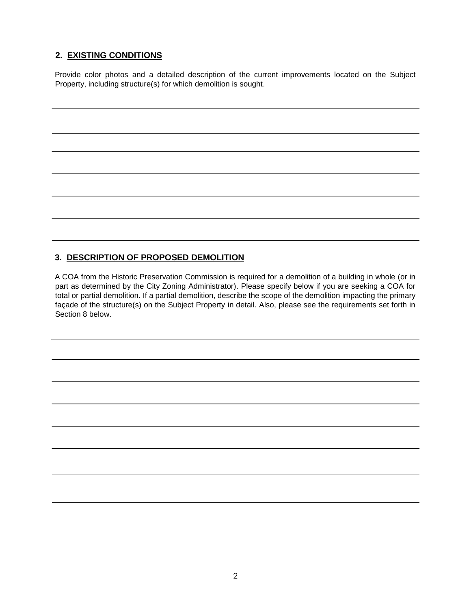## **2. EXISTING CONDITIONS**

Provide color photos and a detailed description of the current improvements located on the Subject Property, including structure(s) for which demolition is sought.

## **3. DESCRIPTION OF PROPOSED DEMOLITION**

A COA from the Historic Preservation Commission is required for a demolition of a building in whole (or in part as determined by the City Zoning Administrator). Please specify below if you are seeking a COA for total or partial demolition. If a partial demolition, describe the scope of the demolition impacting the primary façade of the structure(s) on the Subject Property in detail. Also, please see the requirements set forth in Section 8 below.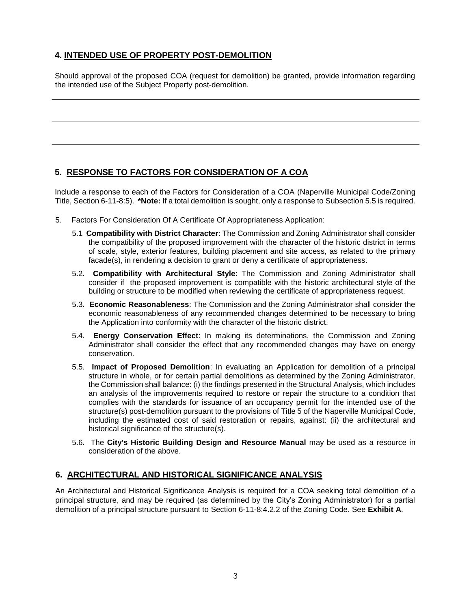## **4. INTENDED USE OF PROPERTY POST-DEMOLITION**

Should approval of the proposed COA (request for demolition) be granted, provide information regarding the intended use of the Subject Property post-demolition.

## **5. RESPONSE TO FACTORS FOR CONSIDERATION OF A COA**

Include a response to each of the Factors for Consideration of a COA (Naperville Municipal Code/Zoning Title, Section 6-11-8:5). **\*Note:** If a total demolition is sought, only a response to Subsection 5.5 is required.

- 5. Factors For Consideration Of A Certificate Of Appropriateness Application:
	- 5.1 **Compatibility with District Character**: The Commission and Zoning Administrator shall consider the compatibility of the proposed improvement with the character of the historic district in terms of scale, style, exterior features, building placement and site access, as related to the primary facade(s), in rendering a decision to grant or deny a certificate of appropriateness.
	- 5.2. **Compatibility with Architectural Style**: The Commission and Zoning Administrator shall consider if the proposed improvement is compatible with the historic architectural style of the building or structure to be modified when reviewing the certificate of appropriateness request.
	- 5.3. **Economic Reasonableness**: The Commission and the Zoning Administrator shall consider the economic reasonableness of any recommended changes determined to be necessary to bring the Application into conformity with the character of the historic district.
	- 5.4. **Energy Conservation Effect**: In making its determinations, the Commission and Zoning Administrator shall consider the effect that any recommended changes may have on energy conservation.
	- 5.5. **Impact of Proposed Demolition**: In evaluating an Application for demolition of a principal structure in whole, or for certain partial demolitions as determined by the Zoning Administrator, the Commission shall balance: (i) the findings presented in the Structural Analysis, which includes an analysis of the improvements required to restore or repair the structure to a condition that complies with the standards for issuance of an occupancy permit for the intended use of the structure(s) post-demolition pursuant to the provisions of Title 5 of the Naperville Municipal Code, including the estimated cost of said restoration or repairs, against: (ii) the architectural and historical significance of the structure(s).
	- 5.6. The **City's Historic Building Design and Resource Manual** may be used as a resource in consideration of the above.

## **6. ARCHITECTURAL AND HISTORICAL SIGNIFICANCE ANALYSIS**

An Architectural and Historical Significance Analysis is required for a COA seeking total demolition of a principal structure, and may be required (as determined by the City's Zoning Administrator) for a partial demolition of a principal structure pursuant to Section 6-11-8:4.2.2 of the Zoning Code. See **Exhibit A**.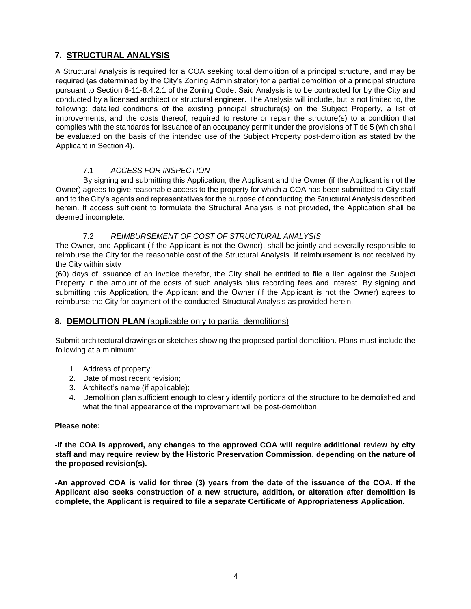## **7. STRUCTURAL ANALYSIS**

A Structural Analysis is required for a COA seeking total demolition of a principal structure, and may be required (as determined by the City's Zoning Administrator) for a partial demolition of a principal structure pursuant to Section 6-11-8:4.2.1 of the Zoning Code. Said Analysis is to be contracted for by the City and conducted by a licensed architect or structural engineer. The Analysis will include, but is not limited to, the following: detailed conditions of the existing principal structure(s) on the Subject Property, a list of improvements, and the costs thereof, required to restore or repair the structure(s) to a condition that complies with the standards for issuance of an occupancy permit under the provisions of Title 5 (which shall be evaluated on the basis of the intended use of the Subject Property post-demolition as stated by the Applicant in Section 4).

#### 7.1 *ACCESS FOR INSPECTION*

By signing and submitting this Application, the Applicant and the Owner (if the Applicant is not the Owner) agrees to give reasonable access to the property for which a COA has been submitted to City staff and to the City's agents and representatives for the purpose of conducting the Structural Analysis described herein. If access sufficient to formulate the Structural Analysis is not provided, the Application shall be deemed incomplete.

#### 7.2 *REIMBURSEMENT OF COST OF STRUCTURAL ANALYSIS*

The Owner, and Applicant (if the Applicant is not the Owner), shall be jointly and severally responsible to reimburse the City for the reasonable cost of the Structural Analysis. If reimbursement is not received by the City within sixty

(60) days of issuance of an invoice therefor, the City shall be entitled to file a lien against the Subject Property in the amount of the costs of such analysis plus recording fees and interest. By signing and submitting this Application, the Applicant and the Owner (if the Applicant is not the Owner) agrees to reimburse the City for payment of the conducted Structural Analysis as provided herein.

## **8. DEMOLITION PLAN** (applicable only to partial demolitions)

Submit architectural drawings or sketches showing the proposed partial demolition. Plans must include the following at a minimum:

- 1. Address of property;
- 2. Date of most recent revision;
- 3. Architect's name (if applicable);
- 4. Demolition plan sufficient enough to clearly identify portions of the structure to be demolished and what the final appearance of the improvement will be post-demolition.

#### **Please note:**

**-If the COA is approved, any changes to the approved COA will require additional review by city staff and may require review by the Historic Preservation Commission, depending on the nature of the proposed revision(s).** 

**-An approved COA is valid for three (3) years from the date of the issuance of the COA. If the Applicant also seeks construction of a new structure, addition, or alteration after demolition is complete, the Applicant is required to file a separate Certificate of Appropriateness Application.**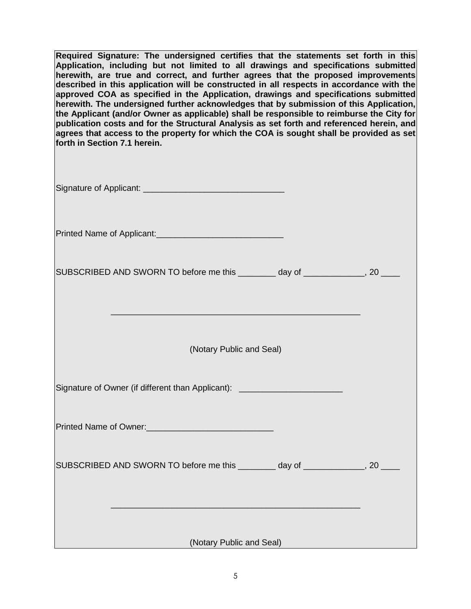**Required Signature: The undersigned certifies that the statements set forth in this Application, including but not limited to all drawings and specifications submitted herewith, are true and correct, and further agrees that the proposed improvements described in this application will be constructed in all respects in accordance with the approved COA as specified in the Application, drawings and specifications submitted herewith. The undersigned further acknowledges that by submission of this Application, the Applicant (and/or Owner as applicable) shall be responsible to reimburse the City for publication costs and for the Structural Analysis as set forth and referenced herein, and agrees that access to the property for which the COA is sought shall be provided as set forth in Section 7.1 herein.**

Signature of Applicant: \_\_\_\_\_\_\_\_\_\_\_\_\_\_\_\_\_\_\_\_\_\_\_\_\_\_\_\_\_\_

Printed Name of Applicant:\_\_\_\_\_\_\_\_\_\_\_\_\_\_\_\_\_\_\_\_\_\_\_\_\_\_\_

| SUBSCRIBED AND SWORN TO before me this | day of |  |
|----------------------------------------|--------|--|
|----------------------------------------|--------|--|

(Notary Public and Seal)

 $\_$  . The contribution of the contribution of  $\mathcal{L}_1$ 

| Signature of Owner (if different than Applicant): ______________________________ |  |
|----------------------------------------------------------------------------------|--|
|                                                                                  |  |
| SUBSCRIBED AND SWORN TO before me this _________ day of _____________, 20 _      |  |
|                                                                                  |  |

(Notary Public and Seal)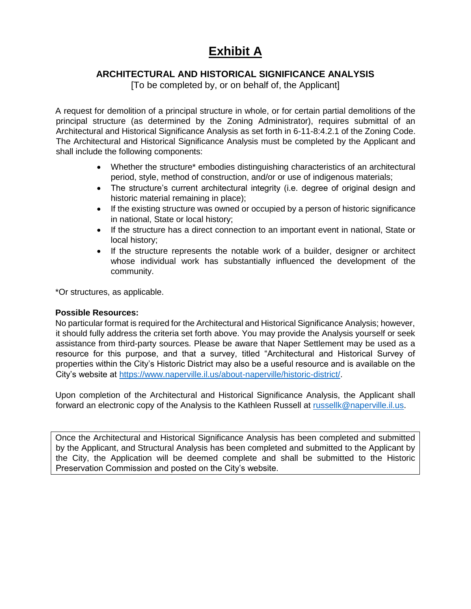# **Exhibit A**

## **ARCHITECTURAL AND HISTORICAL SIGNIFICANCE ANALYSIS**

[To be completed by, or on behalf of, the Applicant]

A request for demolition of a principal structure in whole, or for certain partial demolitions of the principal structure (as determined by the Zoning Administrator), requires submittal of an Architectural and Historical Significance Analysis as set forth in 6-11-8:4.2.1 of the Zoning Code. The Architectural and Historical Significance Analysis must be completed by the Applicant and shall include the following components:

- Whether the structure\* embodies distinguishing characteristics of an architectural period, style, method of construction, and/or or use of indigenous materials;
- The structure's current architectural integrity (i.e. degree of original design and historic material remaining in place);
- If the existing structure was owned or occupied by a person of historic significance in national, State or local history;
- If the structure has a direct connection to an important event in national, State or local history;
- If the structure represents the notable work of a builder, designer or architect whose individual work has substantially influenced the development of the community.

\*Or structures, as applicable.

## **Possible Resources:**

No particular format is required for the Architectural and Historical Significance Analysis; however, it should fully address the criteria set forth above. You may provide the Analysis yourself or seek assistance from third-party sources. Please be aware that Naper Settlement may be used as a resource for this purpose, and that a survey, titled "Architectural and Historical Survey of properties within the City's Historic District may also be a useful resource and is available on the City's website at [https://www.naperville.il.us/about-naperville/historic-district/.](https://www.naperville.il.us/about-naperville/historic-district/)

Upon completion of the Architectural and Historical Significance Analysis, the Applicant shall forward an electronic copy of the Analysis to the Kathleen Russell at [russellk@naperville.il.us.](https://cityofnaperville.sharepoint.com/sites/TED/staff/PND/Planning%20Services/Commissions/Historic%20Preservation%20Commission/Applications/Demolition%20Applications/russellk@naperville.il.us)

Once the Architectural and Historical Significance Analysis has been completed and submitted by the Applicant, and Structural Analysis has been completed and submitted to the Applicant by the City, the Application will be deemed complete and shall be submitted to the Historic Preservation Commission and posted on the City's website.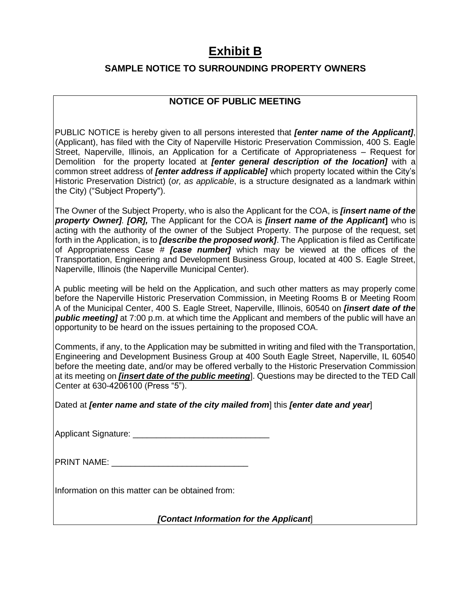# **Exhibit B**

## **SAMPLE NOTICE TO SURROUNDING PROPERTY OWNERS**

## **NOTICE OF PUBLIC MEETING**

PUBLIC NOTICE is hereby given to all persons interested that *[enter name of the Applicant]*, (Applicant), has filed with the City of Naperville Historic Preservation Commission, 400 S. Eagle Street, Naperville, Illinois, an Application for a Certificate of Appropriateness – Request for Demolition for the property located at *[enter general description of the location]* with a common street address of *[enter address if applicable]* which property located within the City's Historic Preservation District) (*or, as applicable*, is a structure designated as a landmark within the City) ("Subject Property").

The Owner of the Subject Property, who is also the Applicant for the COA, is *[insert name of the property Owner]. [OR],* The Applicant for the COA is *[insert name of the Applicant***]** who is acting with the authority of the owner of the Subject Property. The purpose of the request, set forth in the Application, is to *[describe the proposed work]*. The Application is filed as Certificate of Appropriateness Case # *[case number]* which may be viewed at the offices of the Transportation, Engineering and Development Business Group, located at 400 S. Eagle Street, Naperville, Illinois (the Naperville Municipal Center).

A public meeting will be held on the Application, and such other matters as may properly come before the Naperville Historic Preservation Commission, in Meeting Rooms B or Meeting Room A of the Municipal Center, 400 S. Eagle Street, Naperville, Illinois, 60540 on *[insert date of the public meeting]* at 7:00 p.m. at which time the Applicant and members of the public will have an opportunity to be heard on the issues pertaining to the proposed COA.

Comments, if any, to the Application may be submitted in writing and filed with the Transportation, Engineering and Development Business Group at 400 South Eagle Street, Naperville, IL 60540 before the meeting date, and/or may be offered verbally to the Historic Preservation Commission at its meeting on *[insert date of the public meeting*]. Questions may be directed to the TED Call Center at 630-4206100 (Press "5").

Dated at *[enter name and state of the city mailed from*] this *[enter date and year*]

Applicant Signature: \_\_\_\_\_\_\_\_\_\_\_\_\_\_\_\_\_\_\_\_\_\_\_\_\_\_\_\_\_

| <b>PRINT NAME:</b> |  |
|--------------------|--|
|--------------------|--|

Information on this matter can be obtained from:

*[Contact Information for the Applicant*]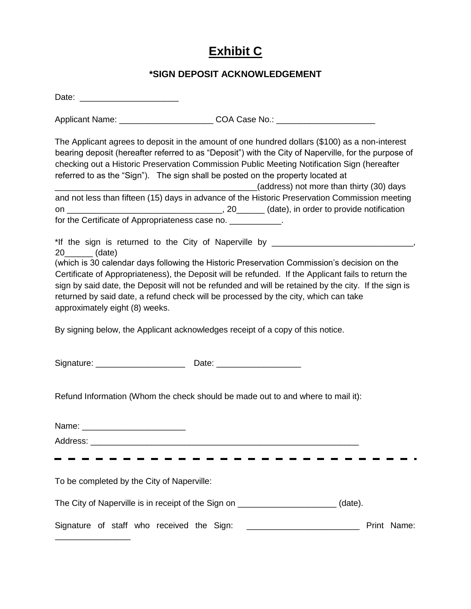# **Exhibit C**

## **\*SIGN DEPOSIT ACKNOWLEDGEMENT**

| Date: _________________________                                                                                                                                                                                                                                                                                                                                                                                                                                                                                                             |  |                                          |
|---------------------------------------------------------------------------------------------------------------------------------------------------------------------------------------------------------------------------------------------------------------------------------------------------------------------------------------------------------------------------------------------------------------------------------------------------------------------------------------------------------------------------------------------|--|------------------------------------------|
| Applicant Name: ____________________________COA Case No.: ______________________                                                                                                                                                                                                                                                                                                                                                                                                                                                            |  |                                          |
| The Applicant agrees to deposit in the amount of one hundred dollars (\$100) as a non-interest<br>bearing deposit (hereafter referred to as "Deposit") with the City of Naperville, for the purpose of<br>checking out a Historic Preservation Commission Public Meeting Notification Sign (hereafter<br>referred to as the "Sign"). The sign shall be posted on the property located at                                                                                                                                                    |  | (address) not more than thirty (30) days |
| and not less than fifteen (15) days in advance of the Historic Preservation Commission meeting                                                                                                                                                                                                                                                                                                                                                                                                                                              |  |                                          |
| for the Certificate of Appropriateness case no. ____________.                                                                                                                                                                                                                                                                                                                                                                                                                                                                               |  |                                          |
| 20_________ (date)<br>(which is 30 calendar days following the Historic Preservation Commission's decision on the<br>Certificate of Appropriateness), the Deposit will be refunded. If the Applicant fails to return the<br>sign by said date, the Deposit will not be refunded and will be retained by the city. If the sign is<br>returned by said date, a refund check will be processed by the city, which can take<br>approximately eight (8) weeks.<br>By signing below, the Applicant acknowledges receipt of a copy of this notice. |  |                                          |
|                                                                                                                                                                                                                                                                                                                                                                                                                                                                                                                                             |  |                                          |
| Refund Information (Whom the check should be made out to and where to mail it):                                                                                                                                                                                                                                                                                                                                                                                                                                                             |  |                                          |
|                                                                                                                                                                                                                                                                                                                                                                                                                                                                                                                                             |  |                                          |
|                                                                                                                                                                                                                                                                                                                                                                                                                                                                                                                                             |  |                                          |
|                                                                                                                                                                                                                                                                                                                                                                                                                                                                                                                                             |  |                                          |
| To be completed by the City of Naperville:                                                                                                                                                                                                                                                                                                                                                                                                                                                                                                  |  |                                          |
| The City of Naperville is in receipt of the Sign on _____________________(date).                                                                                                                                                                                                                                                                                                                                                                                                                                                            |  |                                          |
|                                                                                                                                                                                                                                                                                                                                                                                                                                                                                                                                             |  | Print Name:                              |